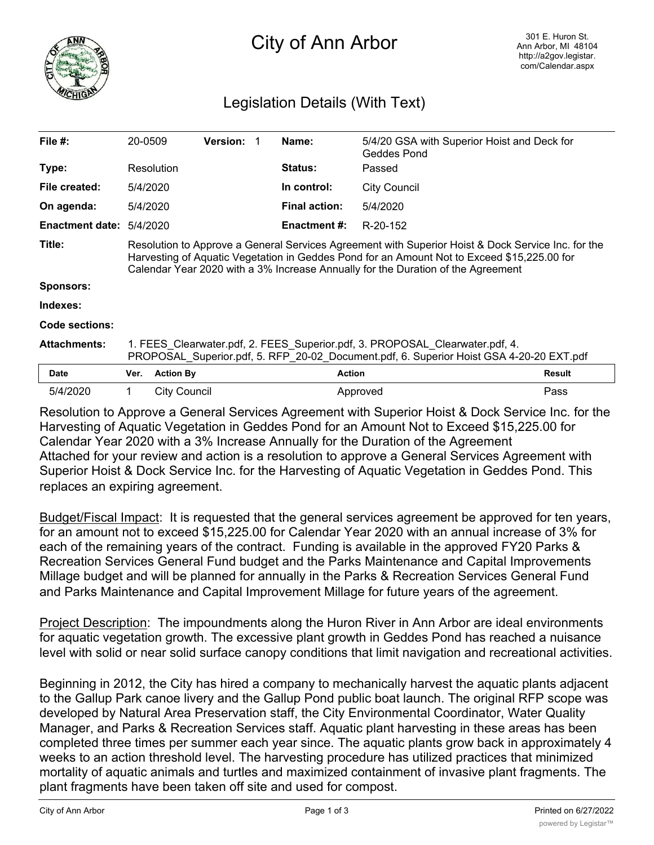

## City of Ann Arbor

## Legislation Details (With Text)

| File $#$ :             | 20-0509                                                                                                                                                                                                                                                                               |                  | <b>Version:</b> |  | Name:                | 5/4/20 GSA with Superior Hoist and Deck for<br>Geddes Pond |               |  |
|------------------------|---------------------------------------------------------------------------------------------------------------------------------------------------------------------------------------------------------------------------------------------------------------------------------------|------------------|-----------------|--|----------------------|------------------------------------------------------------|---------------|--|
| Type:                  |                                                                                                                                                                                                                                                                                       | Resolution       |                 |  | <b>Status:</b>       | Passed                                                     |               |  |
| File created:          | 5/4/2020                                                                                                                                                                                                                                                                              |                  |                 |  | In control:          | <b>City Council</b>                                        |               |  |
| On agenda:             | 5/4/2020                                                                                                                                                                                                                                                                              |                  |                 |  | <b>Final action:</b> | 5/4/2020                                                   |               |  |
| <b>Enactment date:</b> | 5/4/2020                                                                                                                                                                                                                                                                              |                  |                 |  | Enactment #:         | R-20-152                                                   |               |  |
| Title:                 | Resolution to Approve a General Services Agreement with Superior Hoist & Dock Service Inc. for the<br>Harvesting of Aquatic Vegetation in Geddes Pond for an Amount Not to Exceed \$15,225.00 for<br>Calendar Year 2020 with a 3% Increase Annually for the Duration of the Agreement |                  |                 |  |                      |                                                            |               |  |
| <b>Sponsors:</b>       |                                                                                                                                                                                                                                                                                       |                  |                 |  |                      |                                                            |               |  |
| Indexes:               |                                                                                                                                                                                                                                                                                       |                  |                 |  |                      |                                                            |               |  |
| Code sections:         |                                                                                                                                                                                                                                                                                       |                  |                 |  |                      |                                                            |               |  |
| <b>Attachments:</b>    | 1. FEES Clearwater.pdf, 2. FEES Superior.pdf, 3. PROPOSAL Clearwater.pdf, 4.<br>PROPOSAL Superior.pdf, 5. RFP 20-02 Document.pdf, 6. Superior Hoist GSA 4-20-20 EXT.pdf                                                                                                               |                  |                 |  |                      |                                                            |               |  |
| <b>Date</b>            | Ver.                                                                                                                                                                                                                                                                                  | <b>Action By</b> |                 |  | <b>Action</b>        |                                                            | <b>Result</b> |  |
| 5/4/2020               | 1.                                                                                                                                                                                                                                                                                    | City Council     |                 |  |                      | Approved                                                   | Pass          |  |

Resolution to Approve a General Services Agreement with Superior Hoist & Dock Service Inc. for the Harvesting of Aquatic Vegetation in Geddes Pond for an Amount Not to Exceed \$15,225.00 for Calendar Year 2020 with a 3% Increase Annually for the Duration of the Agreement Attached for your review and action is a resolution to approve a General Services Agreement with Superior Hoist & Dock Service Inc. for the Harvesting of Aquatic Vegetation in Geddes Pond. This replaces an expiring agreement.

Budget/Fiscal Impact: It is requested that the general services agreement be approved for ten years, for an amount not to exceed \$15,225.00 for Calendar Year 2020 with an annual increase of 3% for each of the remaining years of the contract. Funding is available in the approved FY20 Parks & Recreation Services General Fund budget and the Parks Maintenance and Capital Improvements Millage budget and will be planned for annually in the Parks & Recreation Services General Fund and Parks Maintenance and Capital Improvement Millage for future years of the agreement.

Project Description: The impoundments along the Huron River in Ann Arbor are ideal environments for aquatic vegetation growth. The excessive plant growth in Geddes Pond has reached a nuisance level with solid or near solid surface canopy conditions that limit navigation and recreational activities.

Beginning in 2012, the City has hired a company to mechanically harvest the aquatic plants adjacent to the Gallup Park canoe livery and the Gallup Pond public boat launch. The original RFP scope was developed by Natural Area Preservation staff, the City Environmental Coordinator, Water Quality Manager, and Parks & Recreation Services staff. Aquatic plant harvesting in these areas has been completed three times per summer each year since. The aquatic plants grow back in approximately 4 weeks to an action threshold level. The harvesting procedure has utilized practices that minimized mortality of aquatic animals and turtles and maximized containment of invasive plant fragments. The plant fragments have been taken off site and used for compost.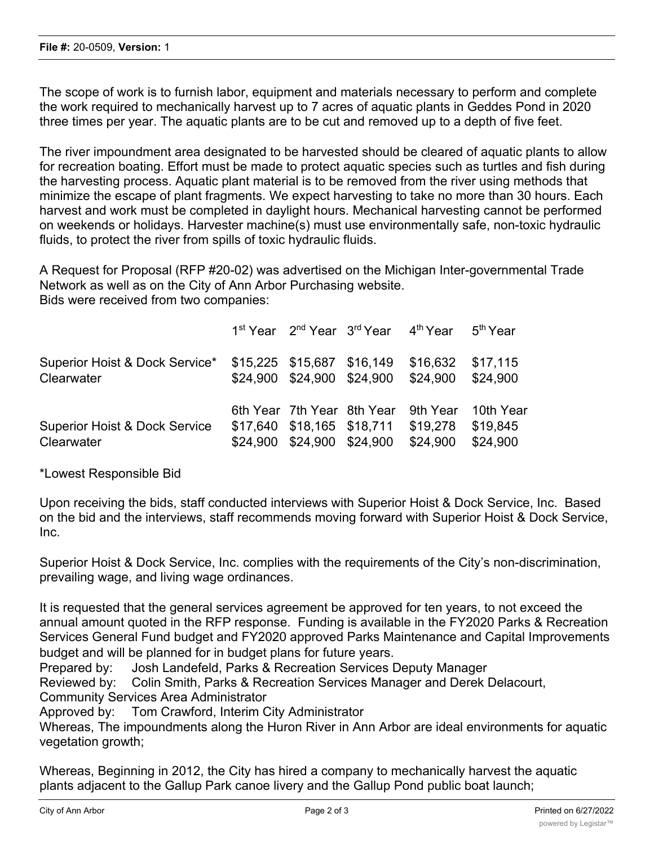The scope of work is to furnish labor, equipment and materials necessary to perform and complete the work required to mechanically harvest up to 7 acres of aquatic plants in Geddes Pond in 2020 three times per year. The aquatic plants are to be cut and removed up to a depth of five feet.

The river impoundment area designated to be harvested should be cleared of aquatic plants to allow for recreation boating. Effort must be made to protect aquatic species such as turtles and fish during the harvesting process. Aquatic plant material is to be removed from the river using methods that minimize the escape of plant fragments. We expect harvesting to take no more than 30 hours. Each harvest and work must be completed in daylight hours. Mechanical harvesting cannot be performed on weekends or holidays. Harvester machine(s) must use environmentally safe, non-toxic hydraulic fluids, to protect the river from spills of toxic hydraulic fluids.

A Request for Proposal (RFP #20-02) was advertised on the Michigan Inter-governmental Trade Network as well as on the City of Ann Arbor Purchasing website. Bids were received from two companies:

|                                                        |                                                                                        |                                     | 1 <sup>st</sup> Year 2 <sup>nd</sup> Year 3 <sup>rd</sup> Year 4 <sup>th</sup> Year 5 <sup>th</sup> Year |                                   |
|--------------------------------------------------------|----------------------------------------------------------------------------------------|-------------------------------------|----------------------------------------------------------------------------------------------------------|-----------------------------------|
| Superior Hoist & Dock Service*<br>Clearwater           | \$15,225 \$15,687 \$16,149                                                             | \$24,900 \$24,900 \$24,900 \$24,900 | \$16,632                                                                                                 | \$17,115<br>\$24.900              |
| <b>Superior Hoist &amp; Dock Service</b><br>Clearwater | 6th Year 7th Year 8th Year<br>\$17,640 \$18,165 \$18,711<br>\$24,900 \$24,900 \$24,900 |                                     | 9th Year<br>\$19,278<br>\$24,900                                                                         | 10th Year<br>\$19,845<br>\$24.900 |

\*Lowest Responsible Bid

Upon receiving the bids, staff conducted interviews with Superior Hoist & Dock Service, Inc. Based on the bid and the interviews, staff recommends moving forward with Superior Hoist & Dock Service, Inc.

Superior Hoist & Dock Service, Inc. complies with the requirements of the City's non-discrimination, prevailing wage, and living wage ordinances.

It is requested that the general services agreement be approved for ten years, to not exceed the annual amount quoted in the RFP response. Funding is available in the FY2020 Parks & Recreation Services General Fund budget and FY2020 approved Parks Maintenance and Capital Improvements budget and will be planned for in budget plans for future years.

Prepared by: Josh Landefeld, Parks & Recreation Services Deputy Manager

Reviewed by: Colin Smith, Parks & Recreation Services Manager and Derek Delacourt, Community Services Area Administrator

Approved by: Tom Crawford, Interim City Administrator

Whereas, The impoundments along the Huron River in Ann Arbor are ideal environments for aquatic vegetation growth;

Whereas, Beginning in 2012, the City has hired a company to mechanically harvest the aquatic plants adjacent to the Gallup Park canoe livery and the Gallup Pond public boat launch;